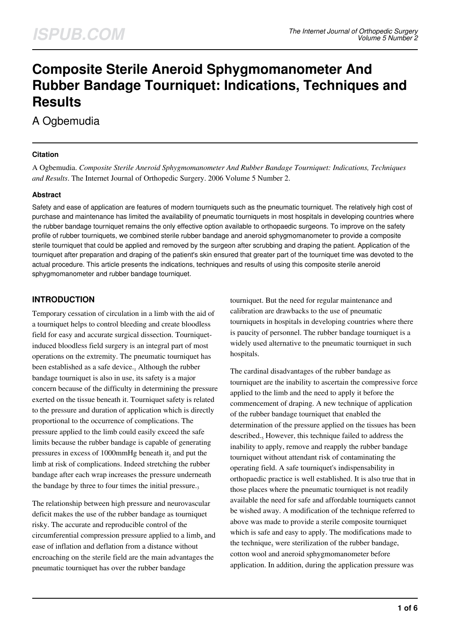# **Composite Sterile Aneroid Sphygmomanometer And Rubber Bandage Tourniquet: Indications, Techniques and Results**

# A Ogbemudia

#### **Citation**

A Ogbemudia. *Composite Sterile Aneroid Sphygmomanometer And Rubber Bandage Tourniquet: Indications, Techniques and Results*. The Internet Journal of Orthopedic Surgery. 2006 Volume 5 Number 2.

#### **Abstract**

Safety and ease of application are features of modern tourniquets such as the pneumatic tourniquet. The relatively high cost of purchase and maintenance has limited the availability of pneumatic tourniquets in most hospitals in developing countries where the rubber bandage tourniquet remains the only effective option available to orthopaedic surgeons. To improve on the safety profile of rubber tourniquets, we combined sterile rubber bandage and aneroid sphygmomanometer to provide a composite sterile tourniquet that could be applied and removed by the surgeon after scrubbing and draping the patient. Application of the tourniquet after preparation and draping of the patient's skin ensured that greater part of the tourniquet time was devoted to the actual procedure. This article presents the indications, techniques and results of using this composite sterile aneroid sphygmomanometer and rubber bandage tourniquet.

# **INTRODUCTION**

Temporary cessation of circulation in a limb with the aid of a tourniquet helps to control bleeding and create bloodless field for easy and accurate surgical dissection. Tourniquetinduced bloodless field surgery is an integral part of most operations on the extremity. The pneumatic tourniquet has been established as a safe device.<sub>1</sub> Although the rubber bandage tourniquet is also in use, its safety is a major concern because of the difficulty in determining the pressure exerted on the tissue beneath it. Tourniquet safety is related to the pressure and duration of application which is directly proportional to the occurrence of complications. The pressure applied to the limb could easily exceed the safe limits because the rubber bandage is capable of generating pressures in excess of 1000mmHg beneath it<sub>2</sub> and put the limb at risk of complications. Indeed stretching the rubber bandage after each wrap increases the pressure underneath the bandage by three to four times the initial pressure. $_3$ 

The relationship between high pressure and neurovascular deficit makes the use of the rubber bandage as tourniquet risky. The accurate and reproducible control of the circumferential compression pressure applied to a limb<sub>4</sub> and ease of inflation and deflation from a distance without encroaching on the sterile field are the main advantages the pneumatic tourniquet has over the rubber bandage

tourniquet. But the need for regular maintenance and calibration are drawbacks to the use of pneumatic tourniquets in hospitals in developing countries where there is paucity of personnel. The rubber bandage tourniquet is a widely used alternative to the pneumatic tourniquet in such hospitals.

The cardinal disadvantages of the rubber bandage as tourniquet are the inability to ascertain the compressive force applied to the limb and the need to apply it before the commencement of draping. A new technique of application of the rubber bandage tourniquet that enabled the determination of the pressure applied on the tissues has been described.<sub>5</sub> However, this technique failed to address the inability to apply, remove and reapply the rubber bandage tourniquet without attendant risk of contaminating the operating field. A safe tourniquet's indispensability in orthopaedic practice is well established. It is also true that in those places where the pneumatic tourniquet is not readily available the need for safe and affordable tourniquets cannot be wished away. A modification of the technique referred to above was made to provide a sterile composite tourniquet which is safe and easy to apply. The modifications made to the technique, were sterilization of the rubber bandage, cotton wool and aneroid sphygmomanometer before application. In addition, during the application pressure was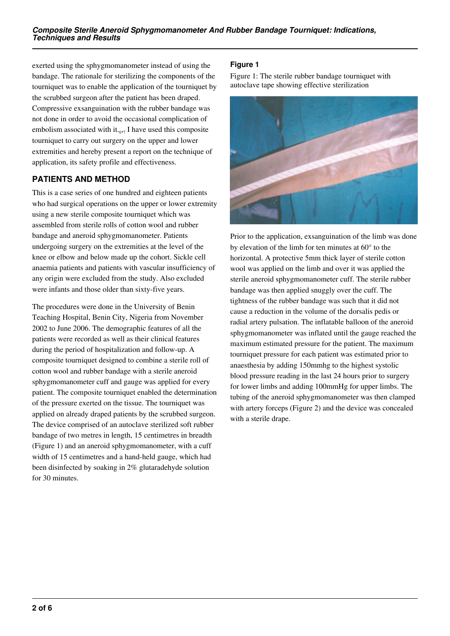exerted using the sphygmomanometer instead of using the bandage. The rationale for sterilizing the components of the tourniquet was to enable the application of the tourniquet by the scrubbed surgeon after the patient has been draped. Compressive exsanguination with the rubber bandage was not done in order to avoid the occasional complication of embolism associated with it. $_{6,7}$  I have used this composite tourniquet to carry out surgery on the upper and lower extremities and hereby present a report on the technique of application, its safety profile and effectiveness.

# **PATIENTS AND METHOD**

This is a case series of one hundred and eighteen patients who had surgical operations on the upper or lower extremity using a new sterile composite tourniquet which was assembled from sterile rolls of cotton wool and rubber bandage and aneroid sphygmomanometer. Patients undergoing surgery on the extremities at the level of the knee or elbow and below made up the cohort. Sickle cell anaemia patients and patients with vascular insufficiency of any origin were excluded from the study. Also excluded were infants and those older than sixty-five years.

The procedures were done in the University of Benin Teaching Hospital, Benin City, Nigeria from November 2002 to June 2006. The demographic features of all the patients were recorded as well as their clinical features during the period of hospitalization and follow-up. A composite tourniquet designed to combine a sterile roll of cotton wool and rubber bandage with a sterile aneroid sphygmomanometer cuff and gauge was applied for every patient. The composite tourniquet enabled the determination of the pressure exerted on the tissue. The tourniquet was applied on already draped patients by the scrubbed surgeon. The device comprised of an autoclave sterilized soft rubber bandage of two metres in length, 15 centimetres in breadth (Figure 1) and an aneroid sphygmomanometer, with a cuff width of 15 centimetres and a hand-held gauge, which had been disinfected by soaking in 2% glutaradehyde solution for 30 minutes.

# **Figure 1**

Figure 1: The sterile rubber bandage tourniquet with autoclave tape showing effective sterilization



Prior to the application, exsanguination of the limb was done by elevation of the limb for ten minutes at 60° to the horizontal. A protective 5mm thick layer of sterile cotton wool was applied on the limb and over it was applied the sterile aneroid sphygmomanometer cuff. The sterile rubber bandage was then applied snuggly over the cuff. The tightness of the rubber bandage was such that it did not cause a reduction in the volume of the dorsalis pedis or radial artery pulsation. The inflatable balloon of the aneroid sphygmomanometer was inflated until the gauge reached the maximum estimated pressure for the patient. The maximum tourniquet pressure for each patient was estimated prior to anaesthesia by adding 150mmhg to the highest systolic blood pressure reading in the last 24 hours prior to surgery for lower limbs and adding 100mmHg for upper limbs. The tubing of the aneroid sphygmomanometer was then clamped with artery forceps (Figure 2) and the device was concealed with a sterile drape.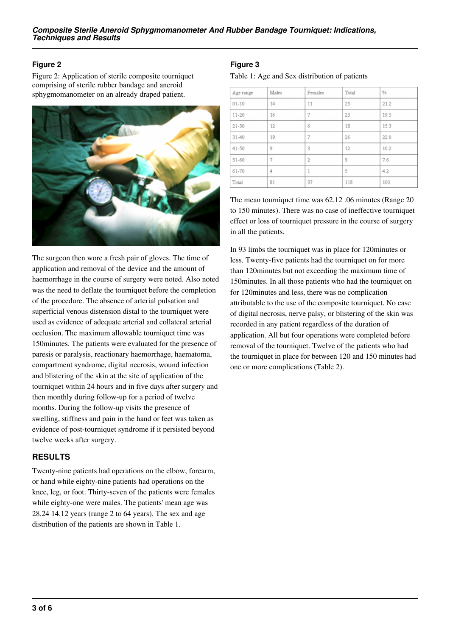#### **Figure 2**

Figure 2: Application of sterile composite tourniquet comprising of sterile rubber bandage and aneroid sphygmomanometer on an already draped patient.



The surgeon then wore a fresh pair of gloves. The time of application and removal of the device and the amount of haemorrhage in the course of surgery were noted. Also noted was the need to deflate the tourniquet before the completion of the procedure. The absence of arterial pulsation and superficial venous distension distal to the tourniquet were used as evidence of adequate arterial and collateral arterial occlusion. The maximum allowable tourniquet time was 150minutes. The patients were evaluated for the presence of paresis or paralysis, reactionary haemorrhage, haematoma, compartment syndrome, digital necrosis, wound infection and blistering of the skin at the site of application of the tourniquet within 24 hours and in five days after surgery and then monthly during follow-up for a period of twelve months. During the follow-up visits the presence of swelling, stiffness and pain in the hand or feet was taken as evidence of post-tourniquet syndrome if it persisted beyond twelve weeks after surgery.

#### **RESULTS**

Twenty-nine patients had operations on the elbow, forearm, or hand while eighty-nine patients had operations on the knee, leg, or foot. Thirty-seven of the patients were females while eighty-one were males. The patients' mean age was 28.24 14.12 years (range 2 to 64 years). The sex and age distribution of the patients are shown in Table 1.

## **Figure 3**

Table 1: Age and Sex distribution of patients

| Age range | Males | Females        | Total | %    |
|-----------|-------|----------------|-------|------|
| $01 - 10$ | 14    | 11             | 25    | 21.2 |
| $11 - 20$ | 16    | 7              | 23    | 19.5 |
| $21 - 30$ | 12    | 6              | 18    | 15.3 |
| $31 - 40$ | 19    | 7              | 26    | 22.0 |
| 41-50     | 9     | 3              | 12    | 10.2 |
| $51 - 60$ | 7     | $\overline{c}$ | 9     | 7.6  |
| 61-70     | 4     | 1              | 5     | 4.2  |
| Total     | 81    | 37             | 118   | 100  |

The mean tourniquet time was 62.12 .06 minutes (Range 20 to 150 minutes). There was no case of ineffective tourniquet effect or loss of tourniquet pressure in the course of surgery in all the patients.

In 93 limbs the tourniquet was in place for 120minutes or less. Twenty-five patients had the tourniquet on for more than 120minutes but not exceeding the maximum time of 150minutes. In all those patients who had the tourniquet on for 120minutes and less, there was no complication attributable to the use of the composite tourniquet. No case of digital necrosis, nerve palsy, or blistering of the skin was recorded in any patient regardless of the duration of application. All but four operations were completed before removal of the tourniquet. Twelve of the patients who had the tourniquet in place for between 120 and 150 minutes had one or more complications (Table 2).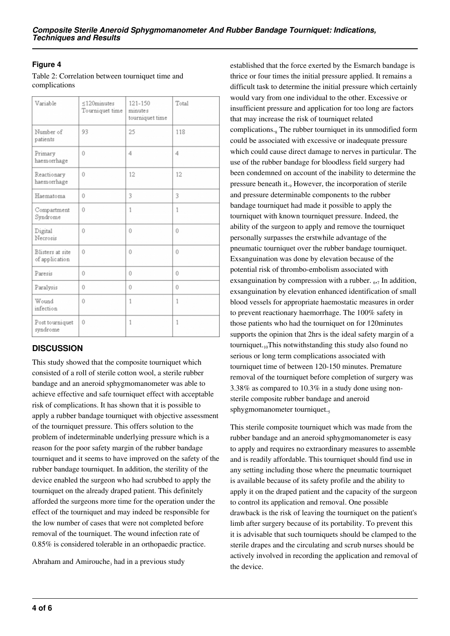#### **Figure 4**

Table 2: Correlation between tourniquet time and complications

| Variable                           | $\leq$ 120minutes<br>Tourniquet time | 121-150<br>minutes<br>tourniquet time | Total        |
|------------------------------------|--------------------------------------|---------------------------------------|--------------|
| Number of<br>patients              | 93                                   | 25                                    | 118          |
| Primary<br>haemorrhage             | Û                                    | 4                                     | 4            |
| Reactionary<br>haemorrhage         | Û                                    | 12                                    | 12           |
| Haematoma                          | Û                                    | 3                                     | 3            |
| Compartment<br>Syndrome            | Û                                    | 1                                     | 1            |
| Digital<br>Necrosis                | Û                                    | Û                                     | Û            |
| Blisters at site<br>of application | Û                                    | Û                                     | Û            |
| Paresis                            | Û                                    | Û                                     | Û            |
| Paralysis                          | 0                                    | Û                                     | Û            |
| Wound<br>infection                 | Û                                    | $\mathbf{1}$                          | $\mathbf{1}$ |
| Post tourniquet<br>syndrome        | Û                                    | 1                                     | 1            |

# **DISCUSSION**

This study showed that the composite tourniquet which consisted of a roll of sterile cotton wool, a sterile rubber bandage and an aneroid sphygmomanometer was able to achieve effective and safe tourniquet effect with acceptable risk of complications. It has shown that it is possible to apply a rubber bandage tourniquet with objective assessment of the tourniquet pressure. This offers solution to the problem of indeterminable underlying pressure which is a reason for the poor safety margin of the rubber bandage tourniquet and it seems to have improved on the safety of the rubber bandage tourniquet. In addition, the sterility of the device enabled the surgeon who had scrubbed to apply the tourniquet on the already draped patient. This definitely afforded the surgeons more time for the operation under the effect of the tourniquet and may indeed be responsible for the low number of cases that were not completed before removal of the tourniquet. The wound infection rate of 0.85% is considered tolerable in an orthopaedic practice.

Abraham and Amirouche<sub>3</sub> had in a previous study

established that the force exerted by the Esmarch bandage is thrice or four times the initial pressure applied. It remains a difficult task to determine the initial pressure which certainly would vary from one individual to the other. Excessive or insufficient pressure and application for too long are factors that may increase the risk of tourniquet related complications.<sub>8</sub> The rubber tourniquet in its unmodified form could be associated with excessive or inadequate pressure which could cause direct damage to nerves in particular. The use of the rubber bandage for bloodless field surgery had been condemned on account of the inability to determine the pressure beneath it.<sub>9</sub> However, the incorporation of sterile and pressure determinable components to the rubber bandage tourniquet had made it possible to apply the tourniquet with known tourniquet pressure. Indeed, the ability of the surgeon to apply and remove the tourniquet personally surpasses the erstwhile advantage of the pneumatic tourniquet over the rubber bandage tourniquet. Exsanguination was done by elevation because of the potential risk of thrombo-embolism associated with exsanguination by compression with a rubber.  $_{6,7}$  In addition, exsanguination by elevation enhanced identification of small blood vessels for appropriate haemostatic measures in order to prevent reactionary haemorrhage. The 100% safety in those patients who had the tourniquet on for 120minutes supports the opinion that 2hrs is the ideal safety margin of a tourniquet. $10$ This notwithstanding this study also found no serious or long term complications associated with tourniquet time of between 120-150 minutes. Premature removal of the tourniquet before completion of surgery was 3.38% as compared to 10.3% in a study done using nonsterile composite rubber bandage and aneroid sphygmomanometer tourniquet.

This sterile composite tourniquet which was made from the rubber bandage and an aneroid sphygmomanometer is easy to apply and requires no extraordinary measures to assemble and is readily affordable. This tourniquet should find use in any setting including those where the pneumatic tourniquet is available because of its safety profile and the ability to apply it on the draped patient and the capacity of the surgeon to control its application and removal. One possible drawback is the risk of leaving the tourniquet on the patient's limb after surgery because of its portability. To prevent this it is advisable that such tourniquets should be clamped to the sterile drapes and the circulating and scrub nurses should be actively involved in recording the application and removal of the device.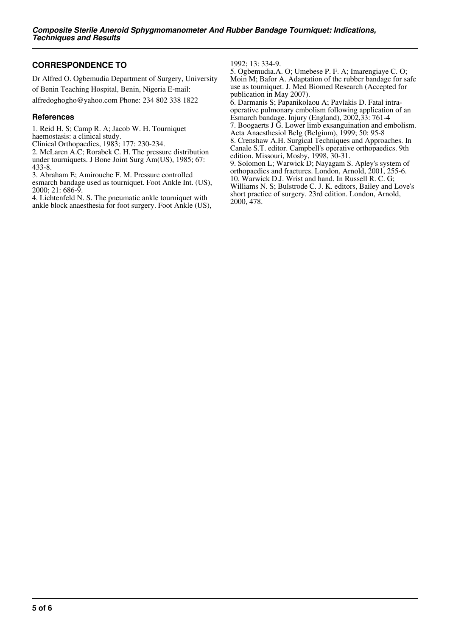#### **CORRESPONDENCE TO**

Dr Alfred O. Ogbemudia Department of Surgery, University of Benin Teaching Hospital, Benin, Nigeria E-mail: alfredoghogho@yahoo.com Phone: 234 802 338 1822

#### **References**

1. Reid H. S; Camp R. A; Jacob W. H. Tourniquet

haemostasis: a clinical study.

Clinical Orthopaedics, 1983; 177: 230-234.

2. McLaren A.C; Rorabek C. H. The pressure distribution under tourniquets. J Bone Joint Surg Am(US), 1985; 67: 433-8.

3. Abraham E; Amirouche F. M. Pressure controlled esmarch bandage used as tourniquet. Foot Ankle Int. (US), 2000; 21: 686-9.

4. Lichtenfeld N. S. The pneumatic ankle tourniquet with ankle block anaesthesia for foot surgery. Foot Ankle (US), 1992; 13: 334-9.

5. Ogbemudia.A. O; Umebese P. F. A; Imarengiaye C. O; Moin M; Bafor A. Adaptation of the rubber bandage for safe use as tourniquet. J. Med Biomed Research (Accepted for publication in May 2007).

6. Darmanis S; Papanikolaou A; Pavlakis D. Fatal intraoperative pulmonary embolism following application of an Esmarch bandage. Injury (England), 2002,33: 761-4 7. Boogaerts J G. Lower limb exsanguination and embolism. Acta Anaesthesiol Belg (Belgium), 1999; 50: 95-8 8. Crenshaw A.H. Surgical Techniques and Approaches. In Canale S.T. editor. Campbell's operative orthopaedics. 9th edition. Missouri, Mosby, 1998, 30-31. 9. Solomon L; Warwick D; Nayagam S. Apley's system of orthopaedics and fractures. London, Arnold, 2001, 255-6. 10. Warwick D.J. Wrist and hand. In Russell R. C. G; Williams N. S; Bulstrode C. J. K. editors, Bailey and Love's

short practice of surgery. 23rd edition. London, Arnold, 2000, 478.